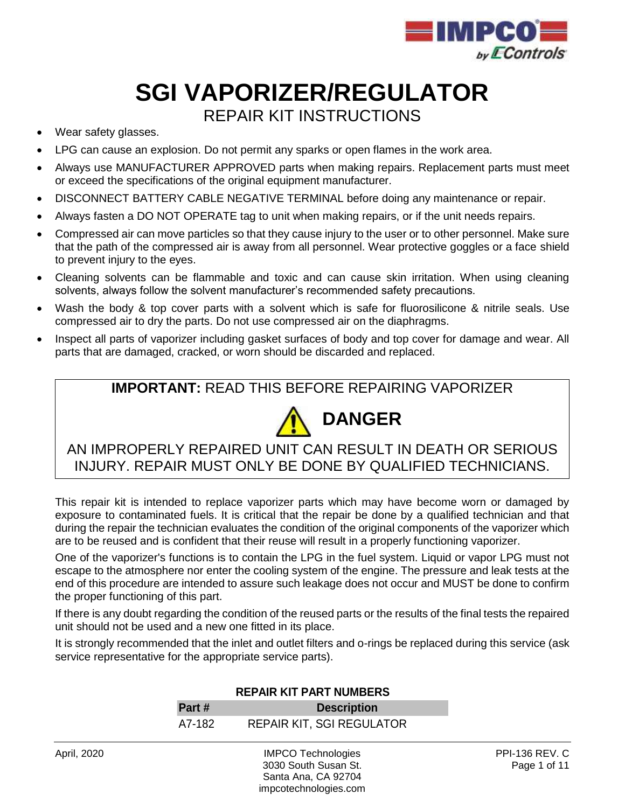

# **SGI VAPORIZER/REGULATOR** REPAIR KIT INSTRUCTIONS

- Wear safety glasses.
- LPG can cause an explosion. Do not permit any sparks or open flames in the work area.
- Always use MANUFACTURER APPROVED parts when making repairs. Replacement parts must meet or exceed the specifications of the original equipment manufacturer.
- DISCONNECT BATTERY CABLE NEGATIVE TERMINAL before doing any maintenance or repair.
- Always fasten a DO NOT OPERATE tag to unit when making repairs, or if the unit needs repairs.
- Compressed air can move particles so that they cause injury to the user or to other personnel. Make sure that the path of the compressed air is away from all personnel. Wear protective goggles or a face shield to prevent injury to the eyes.
- Cleaning solvents can be flammable and toxic and can cause skin irritation. When using cleaning solvents, always follow the solvent manufacturer's recommended safety precautions.
- Wash the body & top cover parts with a solvent which is safe for fluorosilicone & nitrile seals. Use compressed air to dry the parts. Do not use compressed air on the diaphragms.
- Inspect all parts of vaporizer including gasket surfaces of body and top cover for damage and wear. All parts that are damaged, cracked, or worn should be discarded and replaced.

#### **IMPORTANT:** READ THIS BEFORE REPAIRING VAPORIZER



AN IMPROPERLY REPAIRED UNIT CAN RESULT IN DEATH OR SERIOUS INJURY. REPAIR MUST ONLY BE DONE BY QUALIFIED TECHNICIANS.

This repair kit is intended to replace vaporizer parts which may have become worn or damaged by exposure to contaminated fuels. It is critical that the repair be done by a qualified technician and that during the repair the technician evaluates the condition of the original components of the vaporizer which are to be reused and is confident that their reuse will result in a properly functioning vaporizer.

One of the vaporizer's functions is to contain the LPG in the fuel system. Liquid or vapor LPG must not escape to the atmosphere nor enter the cooling system of the engine. The pressure and leak tests at the end of this procedure are intended to assure such leakage does not occur and MUST be done to confirm the proper functioning of this part.

If there is any doubt regarding the condition of the reused parts or the results of the final tests the repaired unit should not be used and a new one fitted in its place.

It is strongly recommended that the inlet and outlet filters and o-rings be replaced during this service (ask service representative for the appropriate service parts).

|             | <b>REPAIR KIT PART NUMBERS</b> |                                  |                            |
|-------------|--------------------------------|----------------------------------|----------------------------|
|             | Part #                         | <b>Description</b>               |                            |
|             | A7-182                         | <b>REPAIR KIT, SGI REGULATOR</b> |                            |
| April, 2020 |                                | <b>IMPCO Technologies</b>        | <b>PPI-136 REV. C</b><br>_ |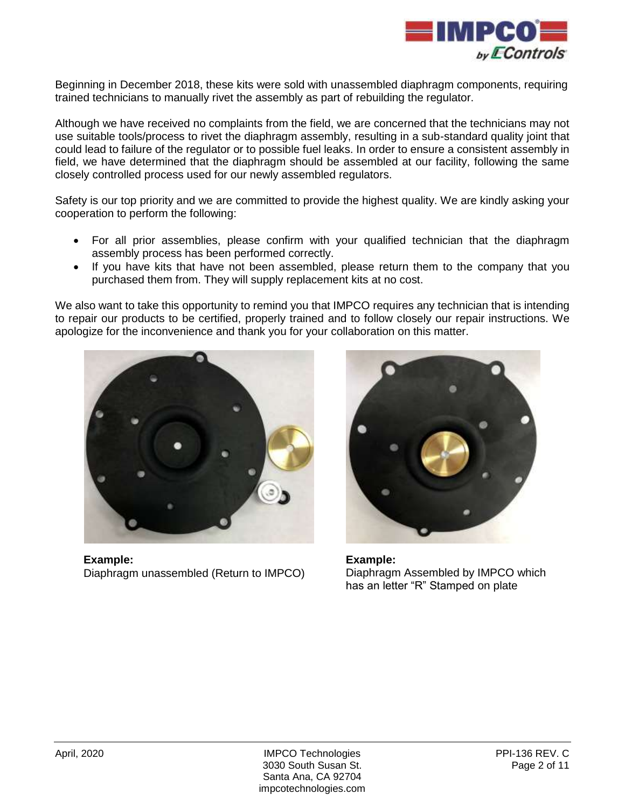

Beginning in December 2018, these kits were sold with unassembled diaphragm components, requiring trained technicians to manually rivet the assembly as part of rebuilding the regulator.

Although we have received no complaints from the field, we are concerned that the technicians may not use suitable tools/process to rivet the diaphragm assembly, resulting in a sub-standard quality joint that could lead to failure of the regulator or to possible fuel leaks. In order to ensure a consistent assembly in field, we have determined that the diaphragm should be assembled at our facility, following the same closely controlled process used for our newly assembled regulators.

Safety is our top priority and we are committed to provide the highest quality. We are kindly asking your cooperation to perform the following:

- For all prior assemblies, please confirm with your qualified technician that the diaphragm assembly process has been performed correctly.
- If you have kits that have not been assembled, please return them to the company that you purchased them from. They will supply replacement kits at no cost.

We also want to take this opportunity to remind you that IMPCO requires any technician that is intending to repair our products to be certified, properly trained and to follow closely our repair instructions. We apologize for the inconvenience and thank you for your collaboration on this matter.



**Example:** Diaphragm unassembled (Return to IMPCO)



**Example:** Diaphragm Assembled by IMPCO which has an letter "R" Stamped on plate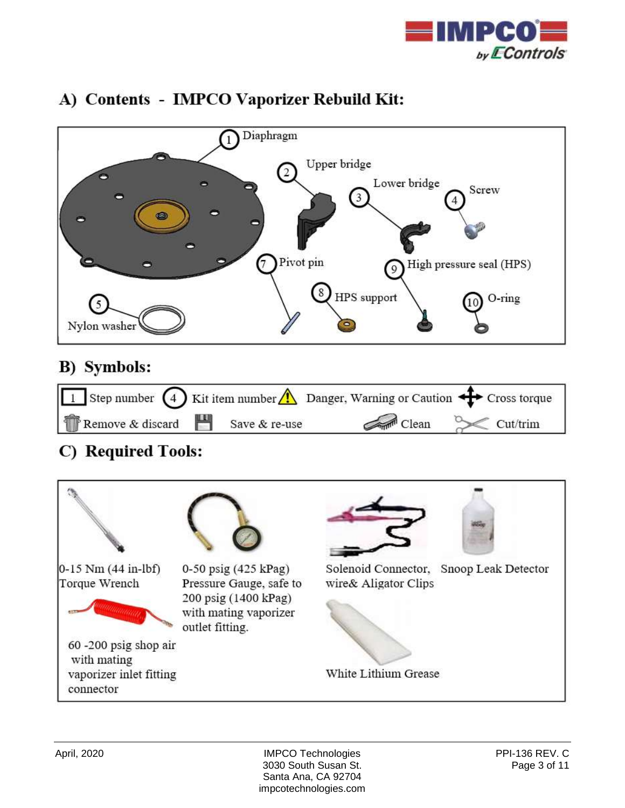



## A) Contents - IMPCO Vaporizer Rebuild Kit:

### **B)** Symbols:



## C) Required Tools:

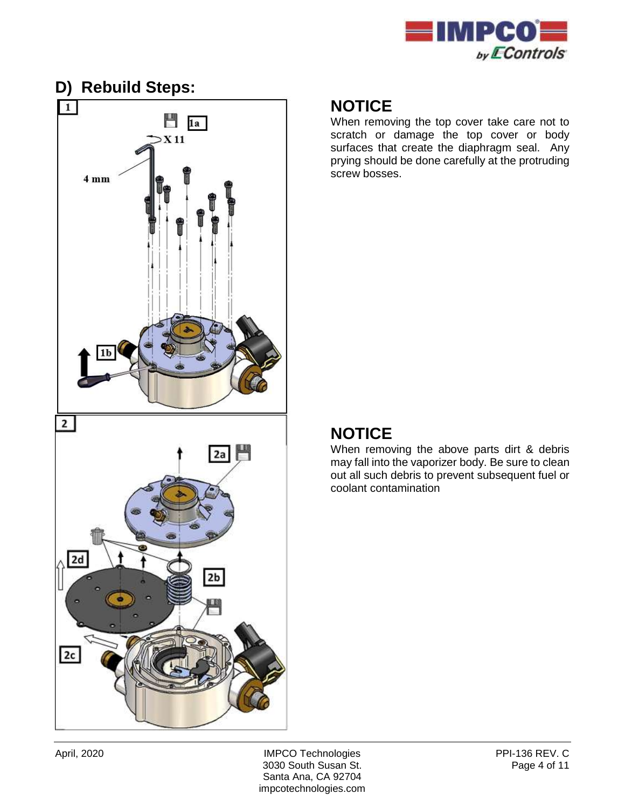



When removing the top cover take care not to scratch or damage the top cover or body surfaces that create the diaphragm seal. Any prying should be done carefully at the protruding screw bosses.

### **NOTICE**

When removing the above parts dirt & debris may fall into the vaporizer body. Be sure to clean out all such debris to prevent subsequent fuel or coolant contamination

April, 2020 **IMPCO Technologies** PPI-136 REV. C 3030 South Susan St. Page 4 of 11 Santa Ana, CA 92704 impcotechnologies.com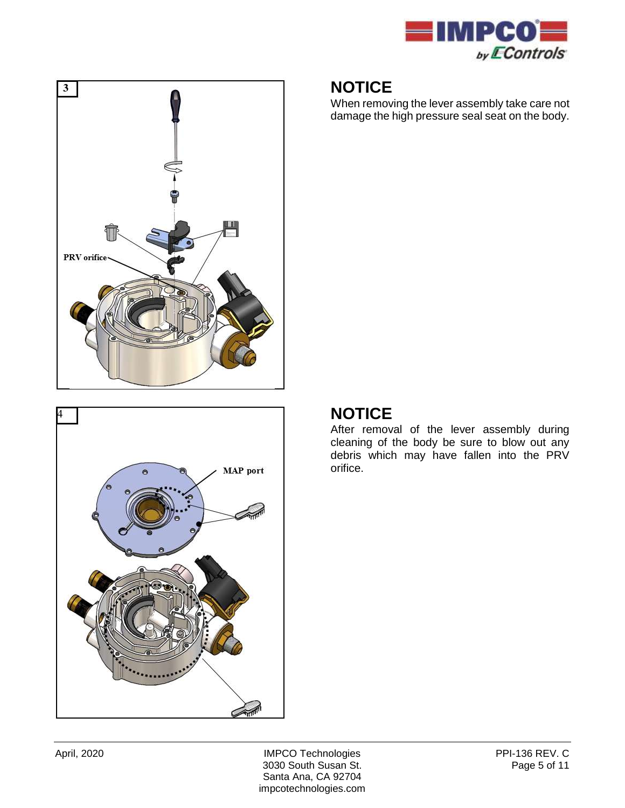

When removing the lever assembly take care not damage the high pressure seal seat on the body.





#### **NOTICE**

After removal of the lever assembly during cleaning of the body be sure to blow out any debris which may have fallen into the PRV orifice.

April, 2020 **IMPCO Technologies** PPI-136 REV. C 3030 South Susan St. Page 5 of 11 Santa Ana, CA 92704 impcotechnologies.com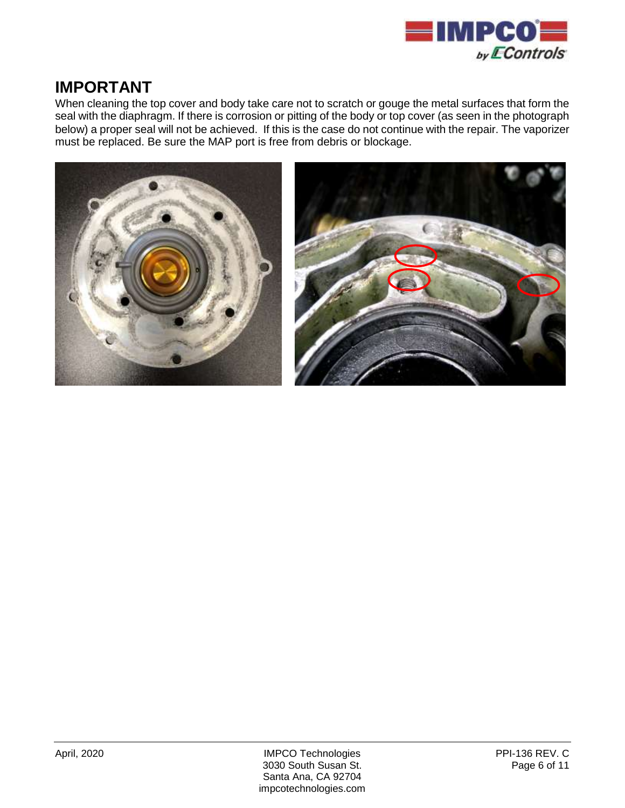

#### **IMPORTANT**

When cleaning the top cover and body take care not to scratch or gouge the metal surfaces that form the seal with the diaphragm. If there is corrosion or pitting of the body or top cover (as seen in the photograph below) a proper seal will not be achieved. If this is the case do not continue with the repair. The vaporizer must be replaced. Be sure the MAP port is free from debris or blockage.

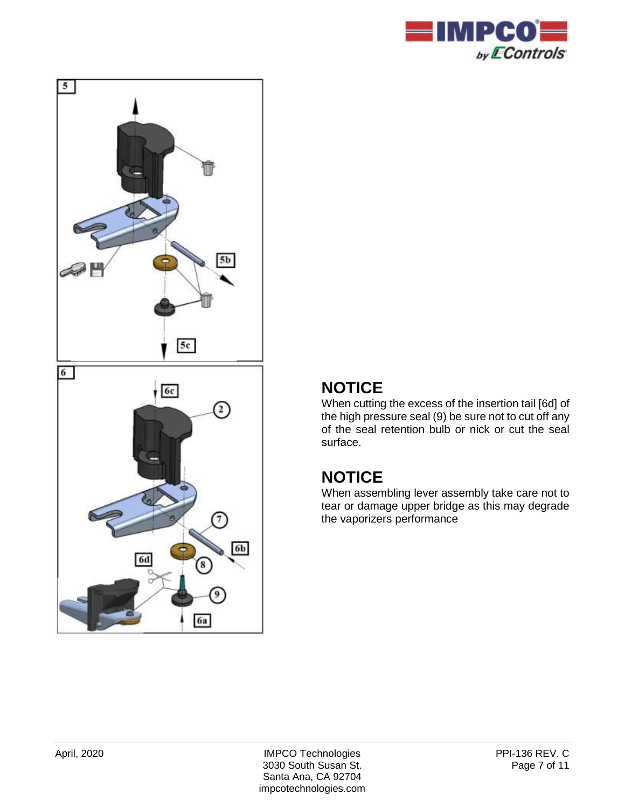



When cutting the excess of the insertion tail [6d] of the high pressure seal (9) be sure not to cut off any of the seal retention bulb or nick or cut the seal surface.

## **NOTICE**

When assembling lever assembly take care not to tear or damage upper bridge as this may degrade the vaporizers performance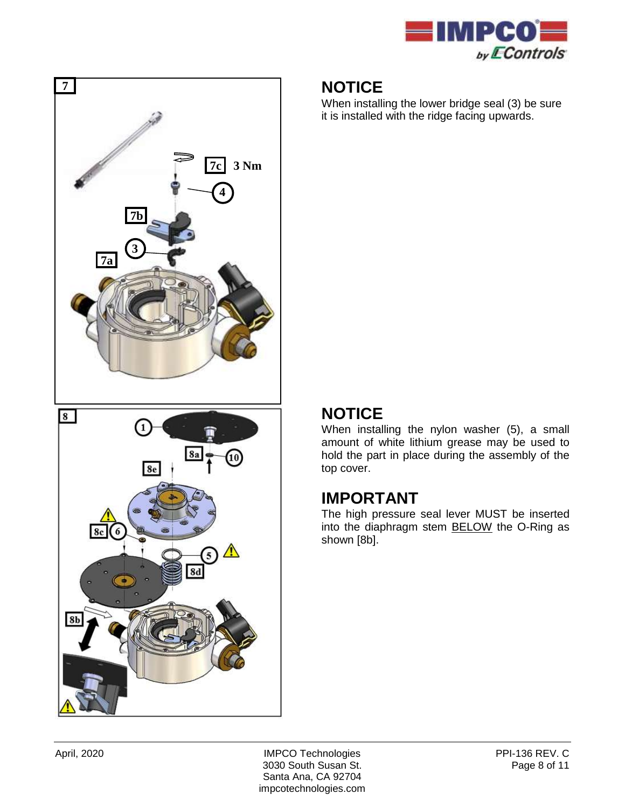

When installing the lower bridge seal (3) be sure it is installed with the ridge facing upwards.

## **NOTICE**

When installing the nylon washer (5), a small amount of white lithium grease may be used to hold the part in place during the assembly of the top cover.

#### **IMPORTANT**

The high pressure seal lever MUST be inserted into the diaphragm stem BELOW the O-Ring as shown [8b].

 **7**

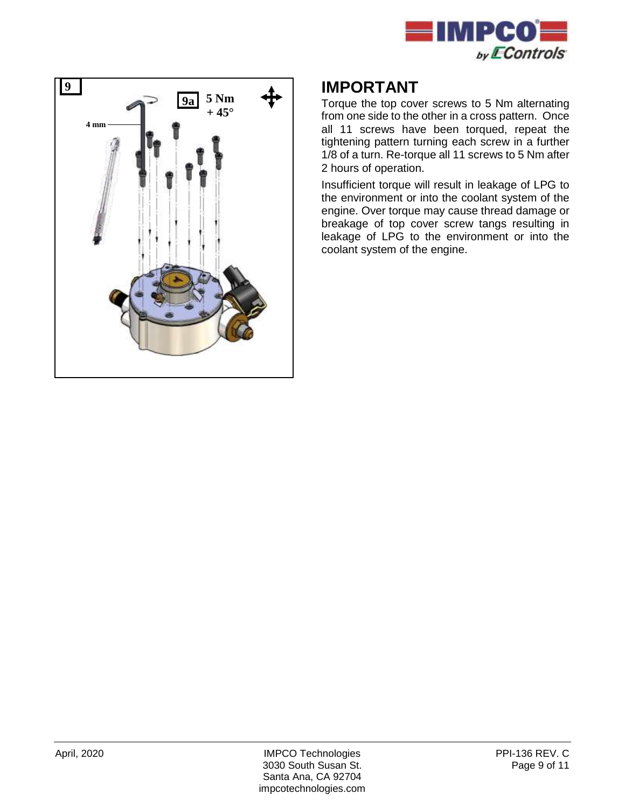



### **IMPORTANT**

Torque the top cover screws to 5 Nm alternating from one side to the other in a cross pattern. Once all 11 screws have been torqued, repeat the tightening pattern turning each screw in a further 1/8 of a turn. Re-torque all 11 screws to 5 Nm after 2 hours of operation.

Insufficient torque will result in leakage of LPG to the environment or into the coolant system of the engine. Over torque may cause thread damage or breakage of top cover screw tangs resulting in leakage of LPG to the environment or into the coolant system of the engine.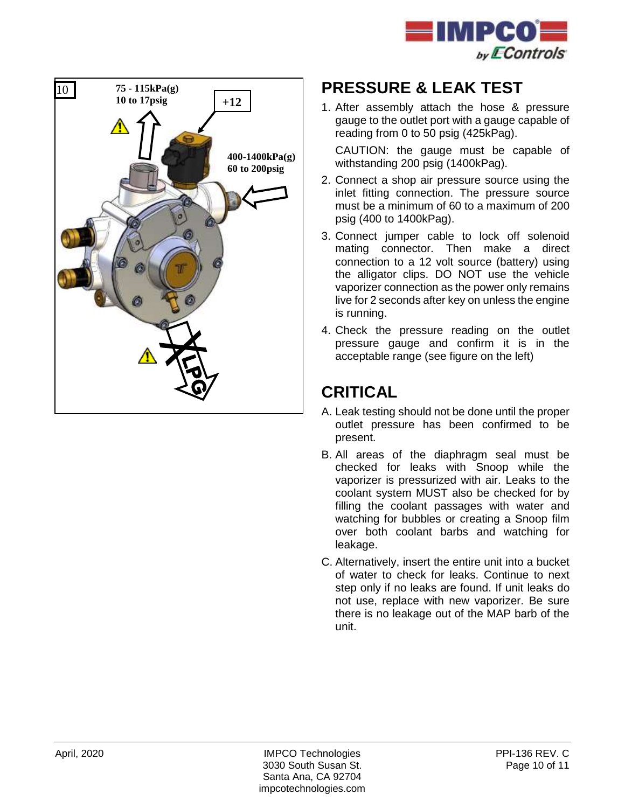



## **PRESSURE & LEAK TEST**

1. After assembly attach the hose & pressure gauge to the outlet port with a gauge capable of reading from 0 to 50 psig (425kPag).

CAUTION: the gauge must be capable of withstanding 200 psig (1400kPag).

- 2. Connect a shop air pressure source using the inlet fitting connection. The pressure source must be a minimum of 60 to a maximum of 200 psig (400 to 1400kPag).
- 3. Connect jumper cable to lock off solenoid mating connector. Then make a direct connection to a 12 volt source (battery) using the alligator clips. DO NOT use the vehicle vaporizer connection as the power only remains live for 2 seconds after key on unless the engine is running.
- 4. Check the pressure reading on the outlet pressure gauge and confirm it is in the acceptable range (see figure on the left)

## **CRITICAL**

- A. Leak testing should not be done until the proper outlet pressure has been confirmed to be present.
- B. All areas of the diaphragm seal must be checked for leaks with Snoop while the vaporizer is pressurized with air. Leaks to the coolant system MUST also be checked for by filling the coolant passages with water and watching for bubbles or creating a Snoop film over both coolant barbs and watching for leakage.
- C. Alternatively, insert the entire unit into a bucket of water to check for leaks. Continue to next step only if no leaks are found. If unit leaks do not use, replace with new vaporizer. Be sure there is no leakage out of the MAP barb of the unit.